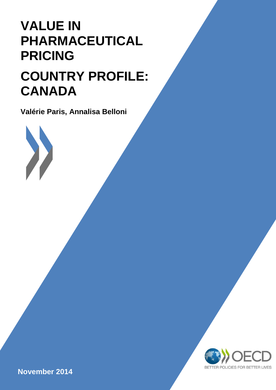# **VALUE IN PHARMACEUTICAL PRICING**

# **COUNTRY PROFILE: CANADA**

**Valérie Paris, Annalisa Belloni**



**November 2014**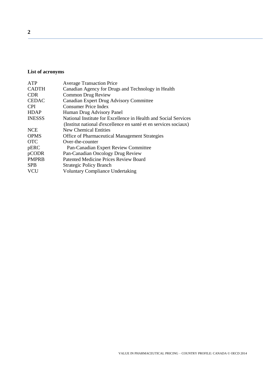# **List of acronyms**

| <b>ATP</b>    | <b>Average Transaction Price</b>                                 |  |  |
|---------------|------------------------------------------------------------------|--|--|
| <b>CADTH</b>  | Canadian Agency for Drugs and Technology in Health               |  |  |
| <b>CDR</b>    | <b>Common Drug Review</b>                                        |  |  |
| <b>CEDAC</b>  | Canadian Expert Drug Advisory Committee                          |  |  |
| <b>CPI</b>    | <b>Consumer Price Index</b>                                      |  |  |
| <b>HDAP</b>   | Human Drug Advisory Panel                                        |  |  |
| <b>INESSS</b> | National Institute for Excellence in Health and Social Services  |  |  |
|               | (Institut national d'excellence en santé et en services sociaux) |  |  |
| <b>NCE</b>    | New Chemical Entities                                            |  |  |
| <b>OPMS</b>   | <b>Office of Pharmaceutical Management Strategies</b>            |  |  |
| <b>OTC</b>    | Over-the-counter                                                 |  |  |
| pERC          | Pan-Canadian Expert Review Committee                             |  |  |
| pCODR         | Pan-Canadian Oncology Drug Review                                |  |  |
| <b>PMPRB</b>  | Patented Medicine Prices Review Board                            |  |  |
| <b>SPB</b>    | <b>Strategic Policy Branch</b>                                   |  |  |
| <b>VCU</b>    | <b>Voluntary Compliance Undertaking</b>                          |  |  |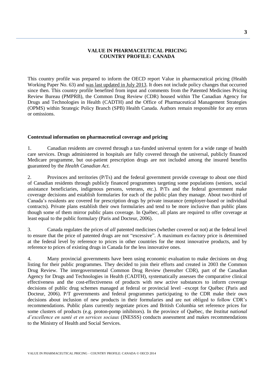# **VALUE IN PHARMACEUTICAL PRICING COUNTRY PROFILE: CANADA**

This country profile was prepared to inform the OECD report Value in pharmaceutical pricing (Health Working Paper No. 63) and was last updated in July 2013. It does not include policy changes that occurred since then. This country profile benefited from input and comments from the Patented Medicines Pricing Review Bureau (PMPRB), the Common Drug Review (CDR) housed within The Canadian Agency for Drugs and Technologies in Health (CADTH) and the Office of Pharmaceutical Management Strategies (OPMS) within Strategic Policy Branch (SPB) Health Canada. Authors remain responsible for any errors or omissions.

#### **Contextual information on pharmaceutical coverage and pricing**

1. Canadian residents are covered through a tax-funded universal system for a wide range of health care services. Drugs administered in hospitals are fully covered through the universal, publicly financed Medicare programme, but out-patient prescription drugs are not included among the insured benefits guaranteed by the *Health Canadian Act*.

2. Provinces and territories (P/Ts) and the federal government provide coverage to about one third of Canadian residents through publicly financed programmes targeting some populations (seniors, social assistance beneficiaries, indigenous persons, veterans, etc.). P/Ts and the federal government make coverage decisions and establish formularies for each of the public plan they manage. About two-third of Canada's residents are covered for prescription drugs by private insurance (employer-based or individual contracts). Private plans establish their own formularies and tend to be more inclusive than public plans though some of them mirror public plans coverage. In Québec, all plans are required to offer coverage at least equal to the public formulary (Paris and Docteur, 2006).

3. Canada regulates the prices of *all* patented medicines (whether covered or not) at the federal level to ensure that the price of patented drugs are not "excessive". A maximum ex-factory price is determined at the federal level by reference to prices in other countries for the most innovative products, and by reference to prices of existing drugs in Canada for the less innovative ones.

4. Many provincial governments have been using economic evaluation to make decisions on drug listing for their public programmes. They decided to join their efforts and created in 2003 the Common Drug Review. The intergovernmental Common Drug Review (hereafter CDR), part of the Canadian Agency for Drugs and Technologies in Health (CADTH), systematically assesses the comparative clinical effectiveness and the cost-effectiveness of products with new active substances to inform coverage decisions of public drug schemes managed at federal or provincial level –except for Québec (Paris and Docteur, 2006). P/T governments and federal programmes participating to the CDR make their own decisions about inclusion of new products in their formularies and are not obliged to follow CDR's recommendations. Public plans currently negotiate prices and British Columbia set reference prices for some clusters of products (e.g. proton-pomp inhibitors). In the province of Québec, the *Institut national d'excellence en santé et en services sociaux* (INESSS) conducts assessment and makes recommendations to the Ministry of Health and Social Services.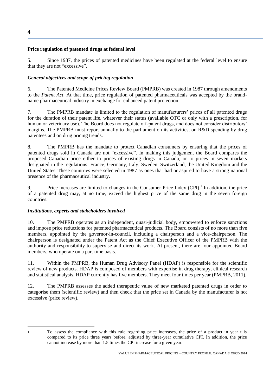# **Price regulation of patented drugs at federal level**

5. Since 1987, the prices of patented medicines have been regulated at the federal level to ensure that they are not "excessive".

# *General objectives and scope of pricing regulation*

6. The Patented Medicine Prices Review Board (PMPRB) was created in 1987 through amendments to the *Patent Act*. At that time, price regulation of patented pharmaceuticals was accepted by the brandname pharmaceutical industry in exchange for enhanced patent protection.

7. The PMPRB mandate is limited to the regulation of manufacturers' prices of all patented drugs for the duration of their patent life, whatever their status (available OTC or only with a prescription, for human or veterinary use). The Board does not regulate off-patent drugs, and does not consider distributors' margins. The PMPRB must report annually to the parliament on its activities, on R&D spending by drug patentees and on drug pricing trends.

8. The PMPRB has the mandate to protect Canadian consumers by ensuring that the prices of patented drugs sold in Canada are not "excessive". In making this judgement the Board compares the proposed Canadian price either to prices of existing drugs in Canada, or to prices in seven markets designated in the regulations: France, Germany, Italy, Sweden, Switzerland, the United Kingdom and the United States. These countries were selected in 1987 as ones that had or aspired to have a strong national presence of the pharmaceutical industry.

9. Price increases are limited to changes in the Consumer Price Index  $(CPI)$ .<sup>1</sup> In addition, the price of a patented drug may, at no time, exceed the highest price of the same drug in the seven foreign countries.

# *Institutions, experts and stakeholders involved*

10. The PMPRB operates as an independent, quasi-judicial body, empowered to enforce sanctions and impose price reductions for patented pharmaceutical products. The Board consists of no more than five members, appointed by the governor-in-council, including a chairperson and a vice-chairperson. The chairperson is designated under the Patent Act as the Chief Executive Officer of the PMPRB with the authority and responsibility to supervise and direct its work. At present, there are four appointed Board members, who operate on a part time basis.

11. Within the PMPRB, the Human Drug Advisory Panel (HDAP) is responsible for the scientific review of new products. HDAP is composed of members with expertise in drug therapy, clinical research and statistical analysis. HDAP currently has five members. They meet four times per year (PMPRB, 2011).

12. The PMPRB assesses the added therapeutic value of new marketed patented drugs in order to categorise them (scientific review) and then check that the price set in Canada by the manufacturer is not excessive (price review).

 1. To assess the compliance with this rule regarding price increases, the price of a product in year t is compared to its price three years before, adjusted by three-year cumulative CPI. In addition, the price cannot increase by more than 1.5 times the CPI increase for a given year.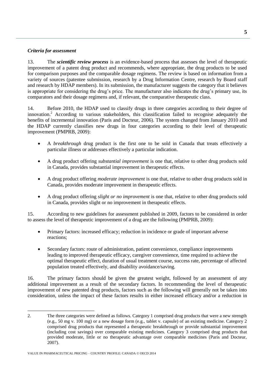# *Criteria for assessment*

13. The *scientific review process* is an evidence-based process that assesses the level of therapeutic improvement of a patent drug product and recommends, where appropriate, the drug products to be used for comparison purposes and the comparable dosage regimens. The review is based on information from a variety of sources (patentee submission, research by a Drug Information Centre, research by Board staff and research by HDAP members). In its submission, the manufacturer suggests the category that it believes is appropriate for considering the drug's price. The manufacturer also indicates the drug's primary use, its comparators and their dosage regimens and, if relevant, the comparative therapeutic class.

14. Before 2010, the HDAP used to classify drugs in three categories according to their degree of innovation.<sup>2</sup> According to various stakeholders, this classification failed to recognise adequately the benefits of incremental innovation (Paris and Docteur, 2006). The system changed from January 2010 and the HDAP currently classifies new drugs in four categories according to their level of therapeutic improvement (PMPRB, 2009):

- A *breakthrough* drug product is the first one to be sold in Canada that treats effectively a particular illness or addresses effectively a particular indication.
- A drug product offering *substantial improvement* is one that, relative to other drug products sold in Canada, provides substantial improvement in therapeutic effects.
- A drug product offering *moderate improvement* is one that, relative to other drug products sold in Canada, provides moderate improvement in therapeutic effects.
- A drug product offering *slight or no improvement* is one that, relative to other drug products sold in Canada, provides slight or no improvement in therapeutic effects.

15. According to new guidelines for assessment published in 2009, factors to be considered in order to assess the level of therapeutic improvement of a drug are the following (PMPRB, 2009):

- Primary factors: increased efficacy; reduction in incidence or grade of important adverse reactions;
- Secondary factors: route of administration, patient convenience, compliance improvements leading to improved therapeutic efficacy, caregiver convenience, time required to achieve the optimal therapeutic effect, duration of usual treatment course, success rate, percentage of affected population treated effectively, and disability avoidance/saving.

16. The primary factors should be given the greatest weight, followed by an assessment of any additional improvement as a result of the secondary factors. In recommending the level of therapeutic improvement of new patented drug products, factors such as the following will generally not be taken into consideration, unless the impact of these factors results in either increased efficacy and/or a reduction in

<sup>2.</sup> The three categories were defined as follows. Category 1 comprised drug products that were a new strength (e.g., 50 mg v. 100 mg) or a new dosage form (e.g., tablet v. capsule) of an existing medicine. Category 2 comprised drug products that represented a therapeutic breakthrough or provide substantial improvement (including cost savings) over comparable existing medicines. Category 3 comprised drug products that provided moderate, little or no therapeutic advantage over comparable medicines (Paris and Docteur, 2007).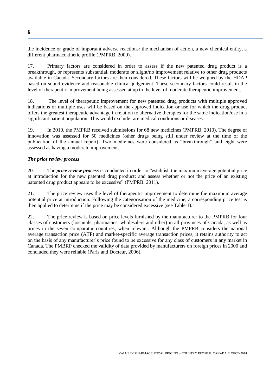the incidence or grade of important adverse reactions: the mechanism of action, a new chemical entity, a different pharmacokinetic profile (PMPRB, 2009).

17. Primary factors are considered in order to assess if the new patented drug product is a breakthrough, or represents substantial, moderate or slight/no improvement relative to other drug products available in Canada. Secondary factors are then considered. These factors will be weighed by the HDAP based on sound evidence and reasonable clinical judgement. These secondary factors could result in the level of therapeutic improvement being assessed at up to the level of moderate therapeutic improvement.

18. The level of therapeutic improvement for new patented drug products with multiple approved indications or multiple uses will be based on the approved indication or use for which the drug product offers the greatest therapeutic advantage in relation to alternative therapies for the same indication/use in a significant patient population. This would exclude rare medical conditions or diseases.

19. In 2010, the PMPRB received submissions for 68 new medicines (PMPRB, 2010). The degree of innovation was assessed for 50 medicines (other drugs being still under review at the time of the publication of the annual report). Two medicines were considered as "breakthrough" and eight were assessed as having a moderate improvement.

# *The price review process*

20. The *price review process* is conducted in order to "establish the maximum average potential price at introduction for the new patented drug product; and assess whether or not the price of an existing patented drug product appears to be excessive" (PMPRB, 2011).

21. The price review uses the level of therapeutic improvement to determine the maximum average potential price at introduction. Following the categorisation of the medicine, a corresponding price test is then applied to determine if the price may be considered excessive (see Table 1).

22. The price review is based on price levels furnished by the manufacturer to the PMPRB for four classes of customers (hospitals, pharmacies, wholesalers and other) in all provinces of Canada, as well as prices in the seven comparator countries, when relevant. Although the PMPRB considers the national average transaction price (ATP) and market-specific average transaction prices, it retains authority to act on the basis of any manufacturer's price found to be excessive for any class of customers in any market in Canada. The PMBRP checked the validity of data provided by manufacturers on foreign prices in 2000 and concluded they were reliable (Paris and Docteur, 2006).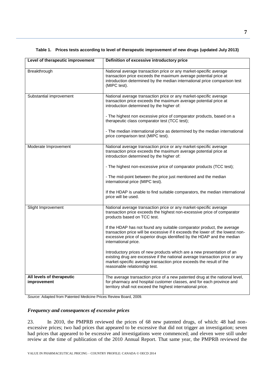| Level of therapeutic improvement         | Definition of excessive introductory price                                                                                                                                                                                                                     |  |  |
|------------------------------------------|----------------------------------------------------------------------------------------------------------------------------------------------------------------------------------------------------------------------------------------------------------------|--|--|
| Breakthrough                             | National average transaction price or any market-specific average<br>transaction price exceeds the maximum average potential price at<br>introduction determined by the median international price comparison test<br>(MIPC test).                             |  |  |
| Substantial improvement                  | National average transaction price or any market-specific average<br>transaction price exceeds the maximum average potential price at<br>introduction determined by the higher of:                                                                             |  |  |
|                                          | - The highest non excessive price of comparator products, based on a<br>therapeutic class comparator test (TCC test);                                                                                                                                          |  |  |
|                                          | - The median international price as determined by the median international<br>price comparison test (MIPC test).                                                                                                                                               |  |  |
| Moderate Improvement                     | National average transaction price or any market-specific average<br>transaction price exceeds the maximum average potential price at<br>introduction determined by the higher of:                                                                             |  |  |
|                                          | - The highest non-excessive price of comparator products (TCC test);                                                                                                                                                                                           |  |  |
|                                          | - The mid-point between the price just mentioned and the median<br>international price (MIPC test).                                                                                                                                                            |  |  |
|                                          | If the HDAP is unable to find suitable comparators, the median international<br>price will be used.                                                                                                                                                            |  |  |
| Slight Improvement                       | National average transaction price or any market-specific average<br>transaction price exceeds the highest non-excessive price of comparator<br>products based on TCC test.                                                                                    |  |  |
|                                          | If the HDAP has not found any suitable comparator product, the average<br>transaction price will be excessive if it exceeds the lower of: the lowest non-<br>excessive price of superior drugs identified by the HDAP and the median<br>international price.   |  |  |
|                                          | Introductory prices of new products which are a new presentation of an<br>existing drug are excessive if the national average transaction price or any<br>market-specific average transaction price exceeds the result of the<br>reasonable relationship test. |  |  |
| All levels of therapeutic<br>improvement | The average transaction price of a new patented drug at the national level,<br>for pharmacy and hospital customer classes, and for each province and<br>territory shall not exceed the highest international price.                                            |  |  |

#### **Table 1. Prices tests according to level of therapeutic improvement of new drugs (updated July 2013)**

*Source*: Adapted from Patented Medicine Prices Review Board, 2009.

#### *Frequency and consequences of excessive prices*

23. In 2010, the PMPRB reviewed the prices of 68 new patented drugs, of which: 48 had nonexcessive prices; two had prices that appeared to be excessive that did not trigger an investigation; seven had prices that appeared to be excessive and investigations were commenced; and eleven were still under review at the time of publication of the 2010 Annual Report. That same year, the PMPRB reviewed the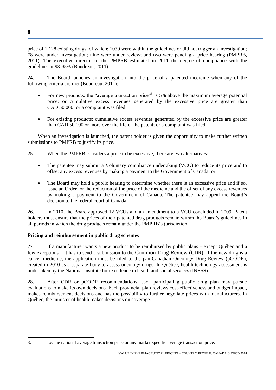price of 1 128 existing drugs, of which: 1039 were within the guidelines or did not trigger an investigation; 78 were under investigation; nine were under review; and two were pending a price hearing (PMPRB, 2011). The executive director of the PMPRB estimated in 2011 the degree of compliance with the guidelines at 93-95% (Boudreau, 2011).

24. The Board launches an investigation into the price of a patented medicine when any of the following criteria are met (Boudreau, 2011):

- For new products: the "average transaction price"<sup>3</sup> is 5% above the maximum average potential price; or cumulative excess revenues generated by the excessive price are greater than CAD 50 000; or a complaint was filed.
- For existing products: cumulative excess revenues generated by the excessive price are greater than CAD 50 000 or more over the life of the patent; or a complaint was filed.

When an investigation is launched, the patent holder is given the opportunity to make further written submissions to PMPRB to justify its price.

- 25. When the PMPRB considers a price to be excessive, there are two alternatives:
	- The patentee may submit a Voluntary compliance undertaking (VCU) to reduce its price and to offset any excess revenues by making a payment to the Government of Canada; or
	- The Board may hold a public hearing to determine whether there is an excessive price and if so, issue an Order for the reduction of the price of the medicine and the offset of any excess revenues by making a payment to the Government of Canada. The patentee may appeal the Board's decision to the federal court of Canada.

26. In 2010, the Board approved 12 VCUs and an amendment to a VCU concluded in 2009. Patent holders must ensure that the prices of their patented drug products remain within the Board's guidelines in all periods in which the drug products remain under the PMPRB's jurisdiction.

# **Pricing and reimbursement in public drug schemes**

27. If a manufacturer wants a new product to be reimbursed by public plans – except Québec and a few exceptions – it has to send a submission to the Common Drug Review (CDR). If the new drug is a cancer medicine, the application must be filed to the pan-Canadian Oncology Drug Review (pCODR), created in 2010 as a separate body to assess oncology drugs. In Québec, health technology assessment is undertaken by the National institute for excellence in health and social services (INESS).

28. After CDR or pCODR recommendations, each participating public drug plan may pursue evaluations to make its own decisions. Each provincial plan reviews cost-effectiveness and budget impact, makes reimbursement decisions and has the possibility to further negotiate prices with manufacturers. In Québec, the minister of health makes decisions on coverage.

 $\overline{a}$ 

<sup>3.</sup> I.e. the national average transaction price or any market-specific average transaction price.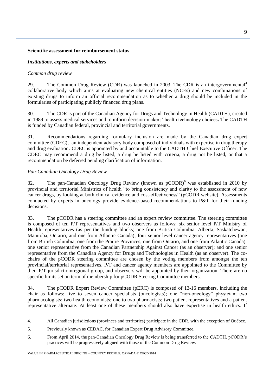#### **Scientific assessment for reimbursement status**

#### *Institutions, experts and stakeholders*

#### *Common drug review*

29. The Common Drug Review (CDR) was launched in 2003. The CDR is an intergovernmental<sup>4</sup> collaborative body which aims at evaluating new chemical entities (NCEs) and new combinations of existing drugs to inform an official recommendation as to whether a drug should be included in the formularies of participating publicly financed drug plans.

30. The CDR is part of the Canadian Agency for Drugs and Technology in Health (CADTH), created in 1989 to assess medical services and to inform decision-makers' health technology choices**.** The CADTH is funded by Canadian federal, provincial and territorial governments.

31. Recommendations regarding formulary inclusion are made by the Canadian drug expert committee (CDEC), 5 an independent advisory body composed of individuals with expertise in drug therapy and drug evaluation. CDEC is appointed by and accountable to the CADTH Chief Executive Officer. The CDEC may recommend a drug be listed, a drug be listed with criteria, a drug not be listed, or that a recommendation be deferred pending clarification of information.

#### *Pan-Canadian Oncology Drug Review*

 $\overline{a}$ 

32. The pan-Canadian Oncology Drug Review (known as pCODR)<sup>6</sup> was established in 2010 by provincial and territorial Ministries of health "to bring consistency and clarity to the assessment of new cancer drugs, by looking at both clinical evidence and cost-effectiveness" (pCODR website). Assessments conducted by experts in oncology provide evidence-based recommendations to P&T for their funding decisions.

33. The pCODR has a steering committee and an expert review committee. The steering committee is composed of ten P/T representatives and two observers as follows: six senior level P/T Ministry of Health representatives (as per the funding blocks; one from British Columbia, Alberta, Saskatchewan, Manitoba, Ontario, and one from Atlantic Canada); four senior level cancer agency representatives (one from British Columbia, one from the Prairie Provinces, one from Ontario, and one from Atlantic Canada); one senior representative from the Canadian Partnership Against Cancer (as an observer); and one senior representative from the Canadian Agency for Drugs and Technologies in Health (as an observer). The cochairs of the pCODR steering committee are chosen by the voting members from amongst the ten provincial/territorial representatives. P/T and cancer agency members are appointed to the Committee by their P/T jurisdiction/regional group, and observers will be appointed by their organization. There are no specific limits set on term of membership for pCODR Steering Committee members.

34. The pCODR Expert Review Committee (pERC) is composed of 13-16 members, including the chair as follows: five to seven cancer specialists (oncologists); one "non-oncology" physician; two pharmacologists; two health economists; one to two pharmacists; two patient representatives and a patient representative alternate. At least one of these members should also have expertise in health ethics. If

<sup>4.</sup> All Canadian jurisdictions (provinces and territories) participate in the CDR, with the exception of Québec.

<sup>5.</sup> Previously known as CEDAC, for Canadian Expert Drug Advisory Committee.

<sup>6.</sup> From April 2014, the pan-Canadian Oncology Drug Review is being transferred to the CADTH. pCODR's practices will be progressively aligned with those of the Common Drug Review.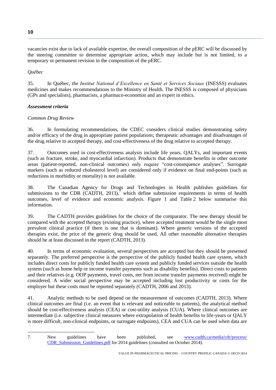# vacancies exist due to lack of available expertise, the overall composition of the pERC will be discussed by the steering committee to determine appropriate action, which may include but is not limited, to a temporary or permanent revision in the composition of the pERC.

# *Québec*

35. In Québec, *the Institut National d'Excellence en Santé et Services Sociaux* (INESSS) evaluates medicines and makes recommendations to the Ministry of Health. The INESSS is composed of physicians (GPs and specialists), pharmacists, a pharmaco-economist and an expert in ethics.

# *Assessment criteria*

# *Common Drug Review*

36. In formulating recommendations, the CDEC considers clinical studies demonstrating safety and/or efficacy of the drug in appropriate patient populations; therapeutic advantages and disadvantages of the drug relative to accepted therapy, and cost-effectiveness of the drug relative to accepted therapy.

37. Outcomes used in cost-effectiveness analysis include life years, QALYs, and important events (such as fracture, stroke, and myocardial infarction). Products that demonstrate benefits in other outcome areas (patient-reported, non-clinical outcomes) only require "cost-consequence analyses". Surrogate markers (such as reduced cholesterol level) are considered only if evidence on final end-points (such as reductions in morbidity or mortality) is not available.

38. The Canadian Agency for Drugs and Technologies in Health publishes guidelines for submissions to the CDR (CADTH, 2013),<sup>7</sup> which define submission requirements in terms of health outcomes, level of evidence and economic analysis. Figure 1 and Table 2 below summarise this information.

39. The CADTH provides guidelines for the choice of the comparator. The new therapy should be compared with the accepted therapy (existing practice), where accepted treatment would be the single most prevalent clinical practice (if there is one that is dominant). Where generic versions of the accepted therapies exist, the price of the generic drug should be used. All other reasonable alternative therapies should be at least discussed in the report (CADTH, 2013).

40. In terms of economic evaluation, several perspectives are accepted but they should be presented separately. The preferred perspective is the perspective of the publicly funded health care system, which includes direct costs for publicly funded health care system and publicly funded services outside the health system (such as home help or income transfer payments such as disability benefits). Direct costs to patients and their relatives (e.g. OOP payments, travel costs, net from income transfer payments received) might be considered. A wider social perspective may be accepted including lost productivity or costs for the employer but these costs must be reported separately (CADTH, 2006 and 2013).

41. Analytic methods to be used depend on the measurement of outcomes (CADTH, 2013). Where clinical outcomes are final (i.e. an event that is relevant and noticeable to patients), the analytical method should be cost-effectiveness analysis (CEA) or cost-utility analysis (CUA). Where clinical outcomes are intermediate (i.e. subjective clinical measures where extrapolation of health benefits to life-years or QALY is more difficult, non-clinical endpoints, or surrogate endpoints), CEA and CUA can be used when data are

<sup>7.</sup> New guidelines have been published, see [www.cadth.ca/media/cdr/process/](http://www.cadth.ca/media/cdr/process/CDR_Submission_Guidelines.pdf) [CDR\\_Submission\\_Guidelines.pdf](http://www.cadth.ca/media/cdr/process/CDR_Submission_Guidelines.pdf) for 2014 guidelines (consulted on October 2014).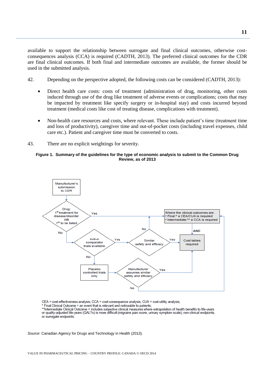available to support the relationship between surrogate and final clinical outcomes, otherwise costconsequences analysis (CCA) is required (CADTH, 2013). The preferred clinical outcomes for the CDR are final clinical outcomes. If both final and intermediate outcomes are available, the former should be used in the submitted analysis.

- 42. Depending on the perspective adopted, the following costs can be considered (CADTH, 2013):
	- Direct health care costs: costs of treatment (administration of drug, monitoring, other costs induced through use of the drug like treatment of adverse events or complications; costs that may be impacted by treatment like specify surgery or in-hospital stay) and costs incurred beyond treatment (medical costs like cost of treating disease, complications with treatment).
	- Non-health care resources and costs, where relevant. These include patient's time (treatment time and loss of productivity), caregiver time and out-of-pocket costs (including travel expenses, child care etc.). Patient and caregiver time must be converted to costs.
- 43. There are no explicit weightings for severity.

#### **Figure 1. Summary of the guidelines for the type of economic analysis to submit to the Common Drug Review, as of 2013**



CEA = cost-effectiveness analysis; CCA = cost-consequence analysis; CUA = cost-utility analysis;

\* Final Clinical Outcome = an event that is relevant and noticeable to patients;<br>\*\*Intermediate Clinical Outcome = includes subjective clinical measures where extrapolation of health benefits to life-years or quality-adjusted life-years (QALYs) is more difficult (migraine pain score, urinary symptom scale), non-clinical endpoints, or surrogate endpoints.

*Source*: Canadian Agency for Drugs and Technology in Health (2013).

VALUE IN PHARMACEUTICAL PRICING – COUNTRY PROFILE: CANADA © OECD 2014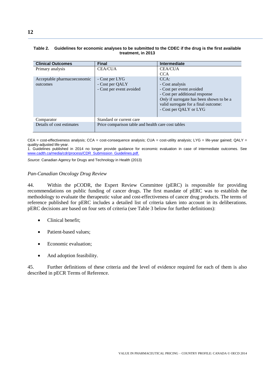#### **Table 2. Guidelines for economic analyses to be submitted to the CDEC if the drug is the first available treatment, in 2013**

| <b>Clinical Outcomes</b>    | <b>Final</b>                                       | <b>Intermediate</b>                      |  |
|-----------------------------|----------------------------------------------------|------------------------------------------|--|
| Primary analysis            | <b>CEA/CUA</b>                                     | <b>CEA/CUA</b>                           |  |
|                             |                                                    | <b>CCA</b>                               |  |
| Acceptable pharmacoeconomic | - Cost per LYG                                     | $CCA$ :                                  |  |
| outcomes                    | - Cost per QALY                                    | - Cost analysis                          |  |
|                             | - Cost per event avoided                           | - Cost per event avoided                 |  |
|                             |                                                    | - Cost per additional response           |  |
|                             |                                                    | Only if surrogate has been shown to be a |  |
|                             |                                                    | valid surrogate for a final outcome:     |  |
|                             |                                                    | - Cost per QALY or LYG                   |  |
|                             |                                                    |                                          |  |
| Comparator                  | Standard or current care                           |                                          |  |
| Details of cost estimates   | Price comparison table and health care cost tables |                                          |  |

CEA = cost-effectiveness analysis; CCA = cost-consequence analysis; CUA = cost-utility analysis; LYG = life-year gained; QALY = quality-adjusted life-year.

1. Guidelines published in 2014 no longer provide guidance for economic evaluation in case of intermediate outcomes. See [www.cadth.ca/media/cdr/process/CDR\\_Submission\\_Guidelines.pdf.](http://www.cadth.ca/media/cdr/process/CDR_Submission_Guidelines.pdf)

*Source*: Canadian Agency for Drugs and Technology in Health (2013)

#### *Pan-Canadian Oncology Drug Review*

44. Within the pCODR, the Expert Review Committee (pERC) is responsible for providing recommendations on public funding of cancer drugs. The first mandate of pERC was to establish the methodology to evaluate the therapeutic value and cost-effectiveness of cancer drug products. The terms of reference published for pERC includes a detailed list of criteria taken into account in its deliberations. pERC decisions are based on four sets of criteria (see Table 3 below for further definitions):

- Clinical benefit;
- Patient-based values;
- Economic evaluation;
- And adoption feasibility.

45. Further definitions of these criteria and the level of evidence required for each of them is also described in pECR Terms of Reference.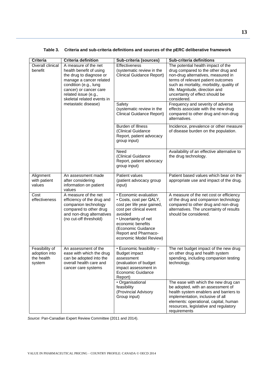|                                                         |                                                                                                                                                                                                                                                                     |                                                                                                                                                                                                                                           | Sub-criteria definitions                                                                                                                                                                                                                                                              |
|---------------------------------------------------------|---------------------------------------------------------------------------------------------------------------------------------------------------------------------------------------------------------------------------------------------------------------------|-------------------------------------------------------------------------------------------------------------------------------------------------------------------------------------------------------------------------------------------|---------------------------------------------------------------------------------------------------------------------------------------------------------------------------------------------------------------------------------------------------------------------------------------|
| Criteria<br>Overall clinical<br>benefit                 | <b>Criteria definition</b><br>A measure of the net<br>health benefit of using<br>the drug to diagnose or<br>manage a cancer related<br>condition (e.g., lung<br>cancer) or cancer care<br>related issue (e.g.,<br>skeletal related events in<br>metastatic disease) | Sub-criteria (sources)<br>Effectiveness<br>(systematic review in the<br>Clinical Guidance Report)                                                                                                                                         | The potential health impact of the<br>drug compared to the other drug and<br>non-drug alternatives, measured in<br>terms of relevant patient outcomes<br>such as mortality, morbidity, quality of<br>life. Magnitude, direction and<br>uncertainty of effect should be<br>considered. |
|                                                         |                                                                                                                                                                                                                                                                     | Safety<br>(systematic review in the<br>Clinical Guidance Report)                                                                                                                                                                          | Frequency and severity of adverse<br>effects associate with the new drug<br>compared to other drug and non-drug<br>alternatives.                                                                                                                                                      |
|                                                         |                                                                                                                                                                                                                                                                     | <b>Burden of Illness</b><br>(Clinical Guidance<br>Report, patient advocacy<br>group input)                                                                                                                                                | Incidence, prevalence or other measure<br>of disease burden on the population.                                                                                                                                                                                                        |
|                                                         |                                                                                                                                                                                                                                                                     | Need<br>(Clinical Guidance<br>Report, patient advocacy<br>group input)                                                                                                                                                                    | Availability of an effective alternative to<br>the drug technology.                                                                                                                                                                                                                   |
| Alignment<br>with patient<br>values                     | An assessment made<br>after considering<br>information on patient<br>values                                                                                                                                                                                         | Patient values<br>(patient advocacy group<br>input)                                                                                                                                                                                       | Patient based values which bear on the<br>appropriate use and impact of the drug.                                                                                                                                                                                                     |
| Cost<br>effectiveness                                   | A measure of the net<br>efficiency of the drug and<br>companion technology<br>compared to other drug<br>and non-drug alternatives<br>(no cut-off threshold)                                                                                                         | • Economic evaluation<br>• Costs, cost per QALY,<br>cost per life year gained,<br>cost per clinical event<br>avoided<br>• Uncertainty of net<br>economic benefits<br>(Economic Guidance<br>Report and Pharmaco-<br>economic Model Review) | A measure of the net cost or efficiency<br>of the drug and companion technology<br>compared to other drug and non-drug<br>alternatives. The uncertainty of results<br>should be considered.                                                                                           |
| Feasibility of<br>adoption into<br>the health<br>system | An assessment of the<br>ease with which the drug<br>can be adopted into the<br>overall health care and<br>cancer care systems                                                                                                                                       | • Economic feasibility -<br><b>Budget impact</b><br>assessment<br>(evaluation of budget<br>impact assessment in<br>Economic Guidance<br>Report)                                                                                           | The net budget impact of the new drug<br>on other drug and health system<br>spending, including companion testing<br>technology.                                                                                                                                                      |
|                                                         |                                                                                                                                                                                                                                                                     | • Organisational<br>feasibility<br>(Provincial Advisory<br>Group input)                                                                                                                                                                   | The ease with which the new drug can<br>be adopted, with an assessment of<br>health system enablers and barriers to<br>implementation, inclusive of all<br>elements: operational, capital, human<br>resources, legislative and regulatory<br>requirements                             |

# **Table 3. Criteria and sub-criteria definitions and sources of the pERC deliberative framework**

*Source*: Pan-Canadian Expert Review Committee (2011 and 2014).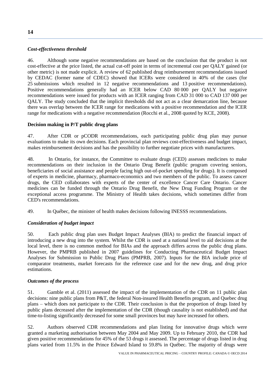# *Cost-effectiveness threshold*

46. Although some negative recommendations are based on the conclusion that the product is not cost-effective at the price listed, the actual cut-off point in terms of incremental cost per QALY gained (or other metric) is not made explicit. A review of 62 published drug reimbursement recommendations issued by CEDAC (former name of CDEC) showed that ICERs were considered in 40% of the cases (for 25 submissions which resulted in 12 negative recommendations and 13 positive recommendations). Positive recommendations generally had an ICER below CAD 80 000 per QALY but negative recommendations were issued for products with an ICER ranging from CAD 31 000 to CAD 137 000 per QALY. The study concluded that the implicit thresholds did not act as a clear demarcation line, because there was overlap between the ICER range for medications with a positive recommendation and the ICER range for medications with a negative recommendation (Rocchi et al., 2008 quoted by KCE, 2008).

# **Decision making in P/T public drug plans**

47. After CDR or pCODR recommendations, each participating public drug plan may pursue evaluations to make its own decisions. Each provincial plan reviews cost-effectiveness and budget impact, makes reimbursement decisions and has the possibility to further negotiate prices with manufacturers.

48. In Ontario, for instance, the Committee to evaluate drugs (CED) assesses medicines to make recommendations on their inclusion in the Ontario Drug Benefit (public program covering seniors, beneficiaries of social assistance and people facing high out-of-pocket spending for drugs). It is composed of experts in medicine, pharmacy, pharmaco-economics and two members of the public. To assess cancer drugs, the CED collaborates with experts of the center of excellence Cancer Care Ontario. Cancer medicines can be funded through the Ontario Drug Benefit, the New Drug Funding Program or the exceptional access programme. The Ministry of Health takes decisions, which sometimes differ from CED's recommendations.

49. In Québec, the minister of health makes decisions following INESSS recommendations.

# *Consideration of budget impact*

50. Each public drug plan uses Budget Impact Analyses (BIA) to predict the financial impact of introducing a new drug into the system. Whilst the CDR is used at a national level to aid decisions at the local level, there is no common method for BIAs and the approach differs across the public drug plans. However, the PMPRB published in 2007 guidelines for Conducting Pharmaceutical Budget Impact Analyses for Submission to Public Drug Plans (PMPRB, 2007). Inputs for the BIA include price of comparator treatments, market forecasts for the reference case and for the new drug, and drug price estimations.

# *Outcomes of the process*

51. Gamble et al. (2011) assessed the impact of the implementation of the CDR on 11 public plan decisions: nine public plans from P&T, the federal Non-insured Health Benefits program, and Quebec drug plans – which does not participate to the CDR. Their conclusion is that the proportion of drugs listed by public plans decreased after the implementation of the CDR (though causality is not established) and that time-to-listing significantly decreased for some small provinces but may have increased for others.

52. Authors observed CDR recommendations and plan listing for innovative drugs which were granted a marketing authorisation between May 2004 and May 2009. Up to February 2010, the CDR had given positive recommendations for 45% of the 53 drugs it assessed. The percentage of drugs listed in drug plans varied from 11.5% in the Prince Edward Island to 59.8% in Québec. The majority of drugs were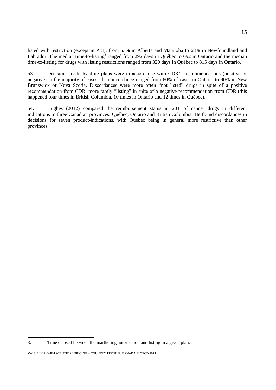listed with restriction (except in PEI): from 53% in Alberta and Manitoba to 68% in Newfoundland and Labrador. The median time-to-listing<sup>8</sup> ranged from 292 days in Québec to 692 in Ontario and the median time-to-listing for drugs with listing restrictions ranged from 320 days in Québec to 815 days in Ontario.

53. Decisions made by drug plans were in accordance with CDR's recommendations (positive or negative) in the majority of cases: the concordance ranged from 60% of cases in Ontario to 90% in New Brunswick or Nova Scotia. Discordances were more often "not listed" drugs in spite of a positive recommendation from CDR, more rarely "listing" in spite of a negative recommendation from CDR (this happened four times in British Columbia, 10 times in Ontario and 12 times in Québec).

54. Hughes (2012) compared the reimbursement status in 2011 of cancer drugs in different indications in three Canadian provinces: Québec, Ontario and British Columbia. He found discordances in decisions for seven product-indications, with Quebec being in general more restrictive than other provinces.

 $\overline{a}$ 

<sup>8.</sup> Time elapsed between the martketing autorisation and listing in a given plan.